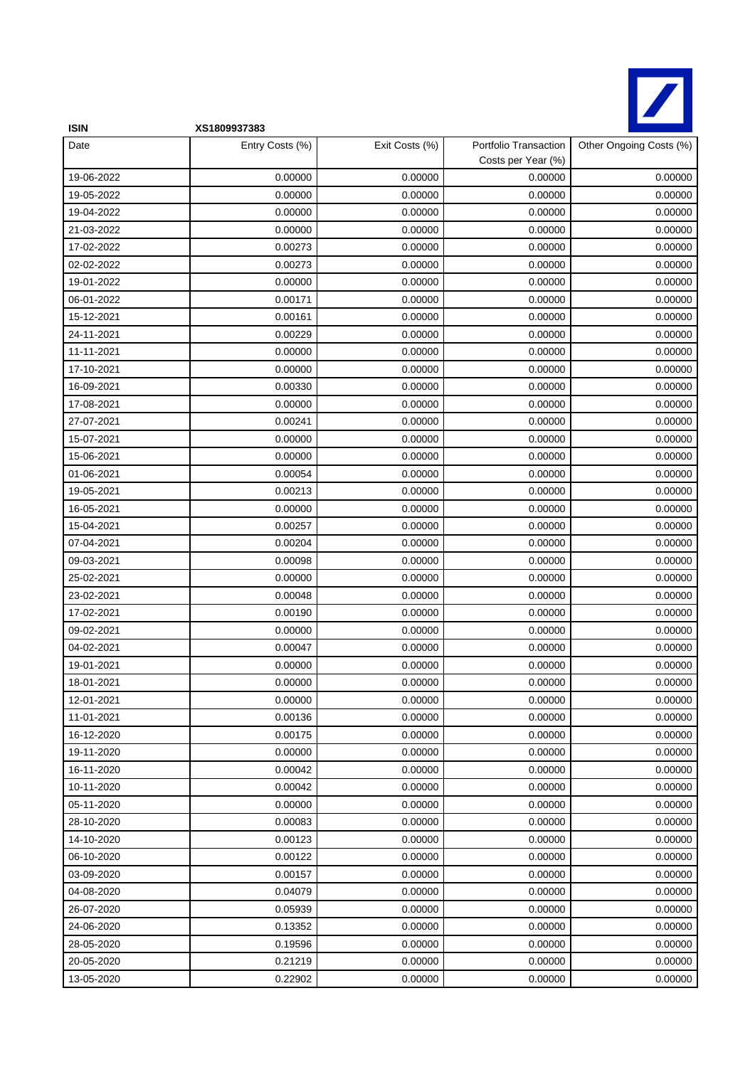

| <b>ISIN</b> | XS1809937383    |                |                                             |                         |
|-------------|-----------------|----------------|---------------------------------------------|-------------------------|
| Date        | Entry Costs (%) | Exit Costs (%) | Portfolio Transaction<br>Costs per Year (%) | Other Ongoing Costs (%) |
| 19-06-2022  | 0.00000         | 0.00000        | 0.00000                                     | 0.00000                 |
| 19-05-2022  | 0.00000         | 0.00000        | 0.00000                                     | 0.00000                 |
| 19-04-2022  | 0.00000         | 0.00000        | 0.00000                                     | 0.00000                 |
| 21-03-2022  | 0.00000         | 0.00000        | 0.00000                                     | 0.00000                 |
| 17-02-2022  | 0.00273         | 0.00000        | 0.00000                                     | 0.00000                 |
| 02-02-2022  | 0.00273         | 0.00000        | 0.00000                                     | 0.00000                 |
| 19-01-2022  | 0.00000         | 0.00000        | 0.00000                                     | 0.00000                 |
| 06-01-2022  | 0.00171         | 0.00000        | 0.00000                                     | 0.00000                 |
| 15-12-2021  | 0.00161         | 0.00000        | 0.00000                                     | 0.00000                 |
| 24-11-2021  | 0.00229         | 0.00000        | 0.00000                                     | 0.00000                 |
| 11-11-2021  | 0.00000         | 0.00000        | 0.00000                                     | 0.00000                 |
| 17-10-2021  | 0.00000         | 0.00000        | 0.00000                                     | 0.00000                 |
| 16-09-2021  | 0.00330         | 0.00000        | 0.00000                                     | 0.00000                 |
| 17-08-2021  | 0.00000         | 0.00000        | 0.00000                                     | 0.00000                 |
| 27-07-2021  | 0.00241         | 0.00000        | 0.00000                                     | 0.00000                 |
| 15-07-2021  | 0.00000         | 0.00000        | 0.00000                                     | 0.00000                 |
| 15-06-2021  | 0.00000         | 0.00000        | 0.00000                                     | 0.00000                 |
| 01-06-2021  | 0.00054         | 0.00000        | 0.00000                                     | 0.00000                 |
| 19-05-2021  | 0.00213         | 0.00000        | 0.00000                                     | 0.00000                 |
| 16-05-2021  | 0.00000         | 0.00000        | 0.00000                                     | 0.00000                 |
| 15-04-2021  | 0.00257         | 0.00000        | 0.00000                                     | 0.00000                 |
| 07-04-2021  | 0.00204         | 0.00000        | 0.00000                                     | 0.00000                 |
| 09-03-2021  | 0.00098         | 0.00000        | 0.00000                                     | 0.00000                 |
| 25-02-2021  | 0.00000         | 0.00000        | 0.00000                                     | 0.00000                 |
| 23-02-2021  | 0.00048         | 0.00000        | 0.00000                                     | 0.00000                 |
| 17-02-2021  | 0.00190         | 0.00000        | 0.00000                                     | 0.00000                 |
| 09-02-2021  | 0.00000         | 0.00000        | 0.00000                                     | 0.00000                 |
| 04-02-2021  | 0.00047         | 0.00000        | 0.00000                                     | 0.00000                 |
| 19-01-2021  | 0.00000         | 0.00000        | 0.00000                                     | 0.00000                 |
| 18-01-2021  | 0.00000         | 0.00000        | 0.00000                                     | 0.00000                 |
| 12-01-2021  | 0.00000         | 0.00000        | 0.00000                                     | 0.00000                 |
| 11-01-2021  | 0.00136         | 0.00000        | 0.00000                                     | 0.00000                 |
| 16-12-2020  | 0.00175         | 0.00000        | 0.00000                                     | 0.00000                 |
| 19-11-2020  | 0.00000         | 0.00000        | 0.00000                                     | 0.00000                 |
| 16-11-2020  | 0.00042         | 0.00000        | 0.00000                                     | 0.00000                 |
| 10-11-2020  | 0.00042         | 0.00000        | 0.00000                                     | 0.00000                 |
| 05-11-2020  | 0.00000         | 0.00000        | 0.00000                                     | 0.00000                 |
| 28-10-2020  | 0.00083         | 0.00000        | 0.00000                                     | 0.00000                 |
| 14-10-2020  | 0.00123         | 0.00000        | 0.00000                                     | 0.00000                 |
| 06-10-2020  | 0.00122         | 0.00000        | 0.00000                                     | 0.00000                 |
| 03-09-2020  | 0.00157         | 0.00000        | 0.00000                                     | 0.00000                 |
| 04-08-2020  | 0.04079         | 0.00000        | 0.00000                                     | 0.00000                 |
| 26-07-2020  | 0.05939         | 0.00000        | 0.00000                                     | 0.00000                 |
| 24-06-2020  | 0.13352         | 0.00000        | 0.00000                                     | 0.00000                 |
| 28-05-2020  | 0.19596         | 0.00000        | 0.00000                                     | 0.00000                 |
| 20-05-2020  | 0.21219         | 0.00000        | 0.00000                                     | 0.00000                 |
| 13-05-2020  | 0.22902         | 0.00000        | 0.00000                                     | 0.00000                 |